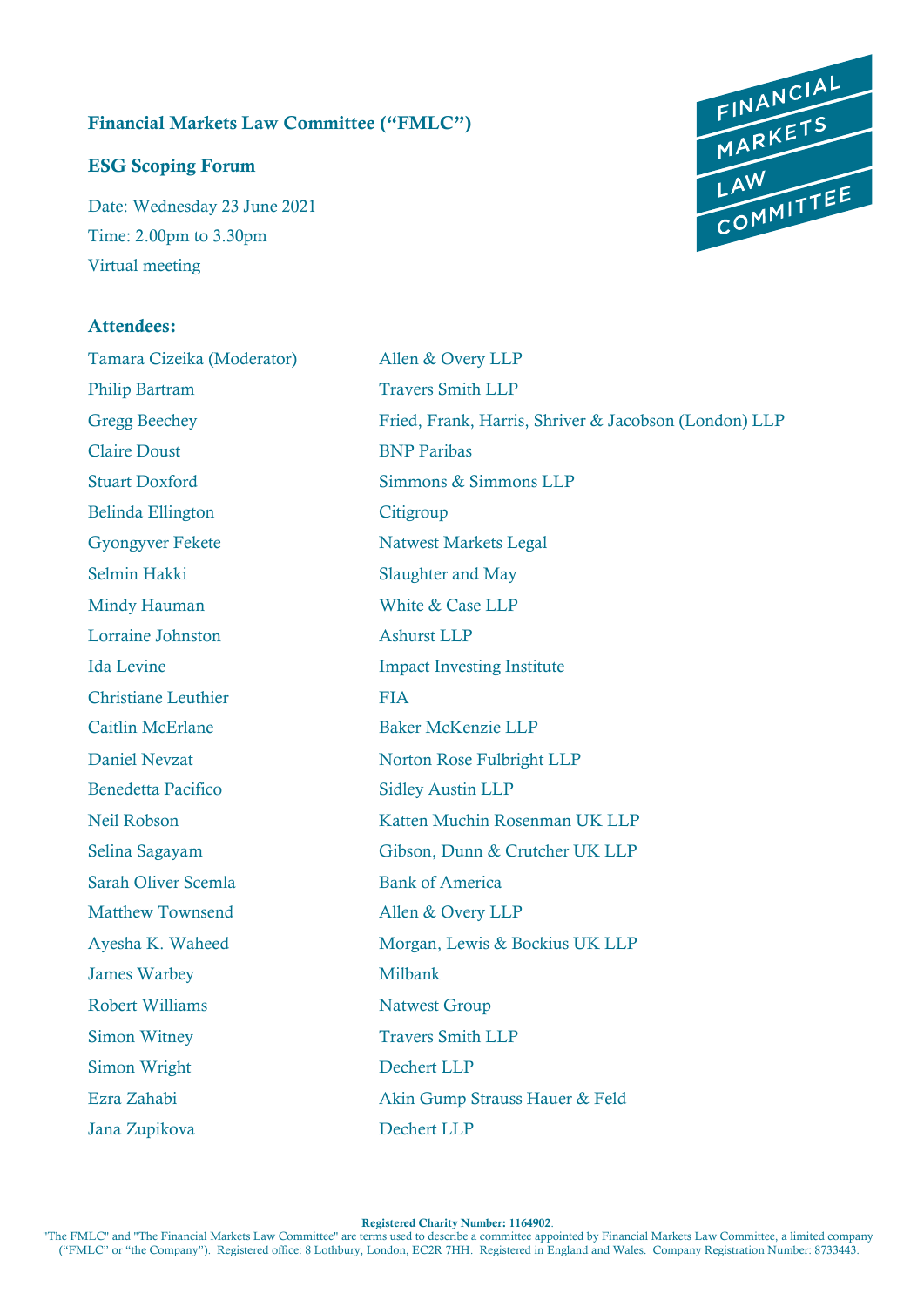# Financial Markets Law Committee ("FMLC")

#### ESG Scoping Forum

Date: Wednesday 23 June 2021 Time: 2.00pm to 3.30pm Virtual meeting

# Attendees:

Tamara Cizeika (Moderator) Allen & Overy LLP Philip Bartram Travers Smith LLP Claire Doust BNP Paribas Belinda Ellington Citigroup Gyongyver Fekete Natwest Markets Legal Selmin Hakki Slaughter and May Mindy Hauman White & Case LLP Lorraine Johnston Ashurst LLP Christiane Leuthier FIA Caitlin McErlane Baker McKenzie LLP Benedetta Pacifico Sidley Austin LLP Sarah Oliver Scemla<br>Bank of America Matthew Townsend Allen & Overy LLP James Warbey Milbank Robert Williams Natwest Group Simon Witney Travers Smith LLP Simon Wright Dechert LLP Jana Zupikova Dechert LLP

Gregg Beechey Fried, Frank, Harris, Shriver & Jacobson (London) LLP Stuart Doxford Simmons & Simmons LLP Ida Levine Impact Investing Institute Daniel Nevzat Norton Rose Fulbright LLP Neil Robson Katten Muchin Rosenman UK LLP Selina Sagayam Gibson, Dunn & Crutcher UK LLP Ayesha K. Waheed Morgan, Lewis & Bockius UK LLP Ezra Zahabi Akin Gump Strauss Hauer & Feld

Registered Charity Number: 1164902.